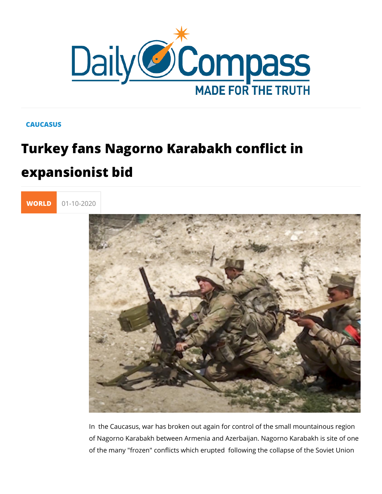## **CAUCASUS**

## Turkey fans Nagorno Karabakh conflict expansionist bid



In the Caucasus, war has broken out again for control of the of Nagorno Karabakh between Armenia and Azerbaijan. Nagorn of the many "frozen" conflicts which erupted following the col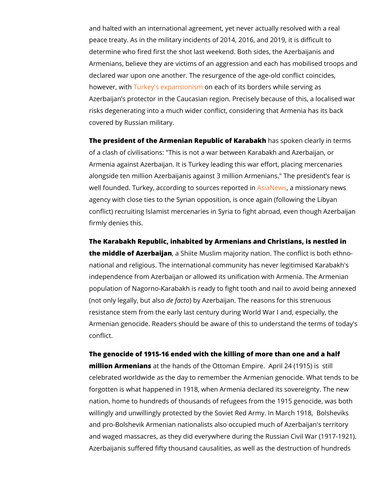and halted with an international agreement, yet never actually peace treaty. As in the military incidents of 2014, 2016, and 2 determine who fired first the shot last weekend. Both sides, th Armenians, believe they are victims of an aggression and each declared war upon one another. The resurgence of the age-old however, wuth Ey's expansonies and of its borders while serving a Azerbaijan s protector in the Caucasian region. Precisely beca risks degenerating into a much wider conflict, considering that covered by Russian military.

The president of the Armenian Republich and Kpack bakchlearly in te of a clash of civilisations: "This is not a war between Karabak Armenia against Azerbaijan. It is Turkey leading this war effor alongside ten million Azerbaijanis against 3 million Armenians well founded. Turkey, according to sAosuiracNets, were proissted nianry news agency with close ties to the Syrian opposition, is once again conflict) recruiting Islamist mercenaries in Syria to fight abroa firmly denies this.

The Karabakh Republic, inhabited by Armenians and Christians the middle of Azer, baißan ite Muslim majority nation. The conflict national and religious. The international community has never independence from Azerbaijan or allowed its unification with A population of Nagorno-Karabakh is ready to fight tooth and na (not only legally,  $d$   $\oplus$  uta) at  $\log p$  Azerbaijan. The reasons for this stre resistance stem from the early last century during World War I Armenian genocide. Readers should be aware of this to unders conflict.

The genocide of 1915-16 ended with the killing of more than o million Armenianshe hands of the Ottoman Empire. April 24 (1 celebrated worldwide as the day to remember the Armenian genocleration forgotten is what happened in 1918, when Armenia declared its nation, home to hundreds of thousands of refugees from the 19 willingly and unwillingly protected by the Soviet Red Army. In and pro-Bolshevik Armenian nationalists also occupied much o and waged massacres, as they did everywhere during the Russ Azerbaijanis suffered fifty thousand causalities, as well as the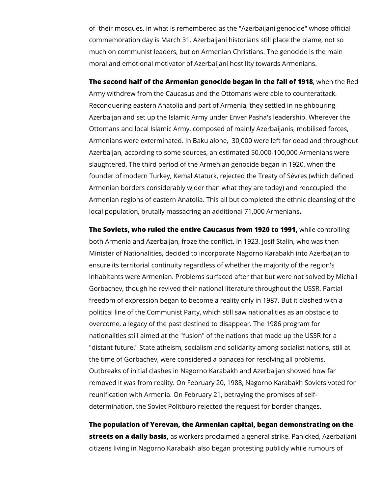of their mosques, in what is remembered as the "Azerbaijani genocide" whose official commemoration day is March 31. Azerbaijani historians still place the blame, not so much on communist leaders, but on Armenian Christians. The genocide is the main moral and emotional motivator of Azerbaijani hostility towards Armenians.

**The second half of the Armenian genocide began in the fall of 1918**, when the Red Army withdrew from the Caucasus and the Ottomans were able to counterattack. Reconquering eastern Anatolia and part of Armenia, they settled in neighbouring Azerbaijan and set up the Islamic Army under Enver Pasha's leadership. Wherever the Ottomans and local Islamic Army, composed of mainly Azerbaijanis, mobilised forces, Armenians were exterminated. In Baku alone, 30,000 were left for dead and throughout Azerbaijan, according to some sources, an estimated 50,000-100,000 Armenians were slaughtered. The third period of the Armenian genocide began in 1920, when the founder of modern Turkey, Kemal Ataturk, rejected the Treaty of Sèvres (which defined Armenian borders considerably wider than what they are today) and reoccupied the Armenian regions of eastern Anatolia. This all but completed the ethnic cleansing of the local population, brutally massacring an additional 71,000 Armenians**.**

**The Soviets, who ruled the entire Caucasus from 1920 to 1991, while controlling** both Armenia and Azerbaijan, froze the conflict. In 1923, Josif Stalin, who was then Minister of Nationalities, decided to incorporate Nagorno Karabakh into Azerbaijan to ensure its territorial continuity regardless of whether the majority of the region's inhabitants were Armenian. Problems surfaced after that but were not solved by Michail Gorbachev, though he revived their national literature throughout the USSR. Partial freedom of expression began to become a reality only in 1987. But it clashed with a political line of the Communist Party, which still saw nationalities as an obstacle to overcome, a legacy of the past destined to disappear. The 1986 program for nationalities still aimed at the "fusion" of the nations that made up the USSR for a "distant future." State atheism, socialism and solidarity among socialist nations, still at the time of Gorbachev, were considered a panacea for resolving all problems. Outbreaks of initial clashes in Nagorno Karabakh and Azerbaijan showed how far removed it was from reality. On February 20, 1988, Nagorno Karabakh Soviets voted for reunification with Armenia. On February 21, betraying the promises of selfdetermination, the Soviet Politburo rejected the request for border changes.

**The population of Yerevan, the Armenian capital, began demonstrating on the streets on a daily basis,** as workers proclaimed a general strike. Panicked, Azerbaijani citizens living in Nagorno Karabakh also began protesting publicly while rumours of